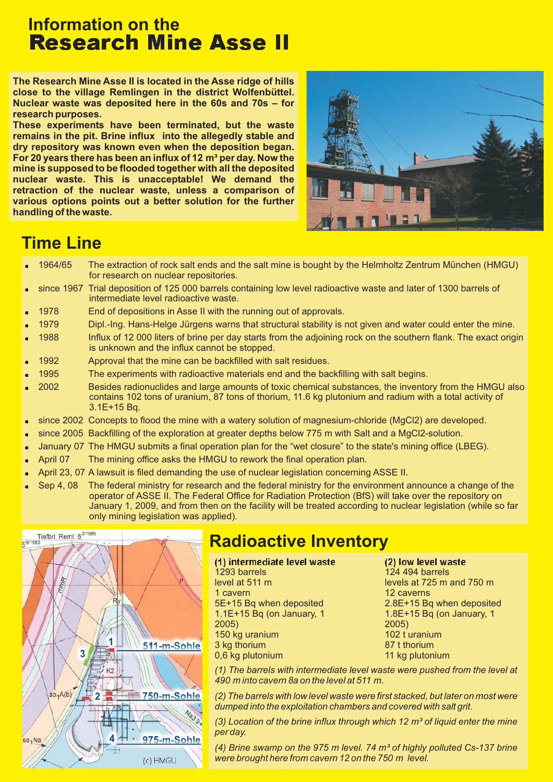## **Information on the Research Mine Asse II**

**The Research Mine Asse II is located in the Asse ridge of hills close to the village Remlingen in the district Wolfenbüttel. Nuclear waste was deposited here in the 60s and 70s – for research purposes.**

**These experiments have been terminated, but the waste remains in the pit. Brine influx into the allegedly stable and dry repository was known even when the deposition began.** For 20 years there has been an influx of 12 m<sup>3</sup> per day. Now the **mine is supposed to be flooded together with all the deposited nuclear waste. This is unacceptable! We demand the retraction of the nuclear waste, unless a comparison of various options points out a better solution for the further handling of the waste.**



## **Time Line**

- . 1964/65 The extraction of rock salt ends and the salt mine is bought by the Helmholtz Zentrum München (HMGU) for research on nuclear repositories.
- . since 1967 Trial deposition of 125 000 barrels containing low level radioactive waste and later of 1300 barrels of intermediate level radioactive waste.
- . 1978 End of depositions in Asse II with the running out of approvals.
- . 1979 Dipl.-Ing. Hans-Helge Jürgens warns that structural stability is not given and water could enter the mine.
- . 1988 Influx of 12 000 liters of brine per day starts from the adjoining rock on the southern flank. The exact origin is unknown and the influx cannot be stopped.
- . 1992 Approval that the mine can be backfilled with salt residues.
- . 1995 The experiments with radioactive materials end and the backfilling with salt begins.
- . 2002 Besides radionuclides and large amounts of toxic chemical substances, the inventory from the HMGU also contains 102 tons of uranium, 87 tons of thorium, 11.6 kg plutonium and radium with a total activity of 3.1E+15 Bq.
- × since 2002 Concepts to flood the mine with a watery solution of magnesium-chloride (MgCl2) are developed.
- . since 2005 Backfilling of the exploration at greater depths below 775 m with Salt and a MgCl2-solution.
- . January 07 The HMGU submits a final operation plan for the "wet closure" to the state's mining office (LBEG).
- . April 07 The mining office asks the HMGU to rework the final operation plan.
- . April 23, 07 A lawsuit is filed demanding the use of nuclear legislation concerning ASSE II.
- . Sep 4, 08 The federal ministry for research and the federal ministry for the environment announce a change of the operator of ASSE II. The Federal Office for Radiation Protection (BfS) will take over the repository on January 1, 2009, and from then on the facility will be treated according to nuclear legislation (while so far only mining legislation was applied).



# **Radioactive Inventory**

(1) intermediate level waste (2) 1293 barrels

level at 511 m 1 cavern 5E+15 Bq when deposited 1.1E+15 Bq (on January, 1 2005) 150 kg uranium 3 kg thorium 0,6 kg plutonium

low level waste 124 494 barrels levels at 725 m and 750 m 12 caverns 2.8E+15 Bq when deposited 1.8E+15 Bq (on January, 1 2005) 102  $t$  uranium 87 t thorium 11 kg plutonium

*(1) The barrels with intermediate level waste were pushed from the level at 490 m into cavern 8a on the level at 511 m.*

*(2) The barrels with low level waste were first stacked, but later on most were dumped into the exploitation chambers and covered with salt grit.*

*(3) Location of the brine influx through which 12 m³ of liquid enter the mine per day.*

*(4) Brine swamp on the 975 m level. 74 m³ of highly polluted Cs-137 brine were brought here from cavern 12 on the 750 m level.*